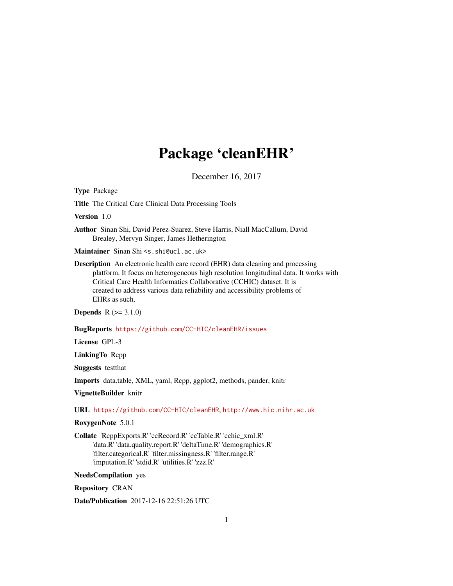## Package 'cleanEHR'

December 16, 2017

Type Package

Title The Critical Care Clinical Data Processing Tools

Version 1.0

Author Sinan Shi, David Perez-Suarez, Steve Harris, Niall MacCallum, David Brealey, Mervyn Singer, James Hetherington

Maintainer Sinan Shi <s.shi@ucl.ac.uk>

Description An electronic health care record (EHR) data cleaning and processing platform. It focus on heterogeneous high resolution longitudinal data. It works with Critical Care Health Informatics Collaborative (CCHIC) dataset. It is created to address various data reliability and accessibility problems of EHRs as such.

**Depends**  $R (=3.1.0)$ 

BugReports <https://github.com/CC-HIC/cleanEHR/issues>

License GPL-3

LinkingTo Rcpp

Suggests testthat

Imports data.table, XML, yaml, Rcpp, ggplot2, methods, pander, knitr

VignetteBuilder knitr

URL <https://github.com/CC-HIC/cleanEHR>, <http://www.hic.nihr.ac.uk>

RoxygenNote 5.0.1

Collate 'RcppExports.R' 'ccRecord.R' 'ccTable.R' 'cchic\_xml.R' 'data.R' 'data.quality.report.R' 'deltaTime.R' 'demographics.R' 'filter.categorical.R' 'filter.missingness.R' 'filter.range.R' 'imputation.R' 'stdid.R' 'utilities.R' 'zzz.R'

NeedsCompilation yes

Repository CRAN

Date/Publication 2017-12-16 22:51:26 UTC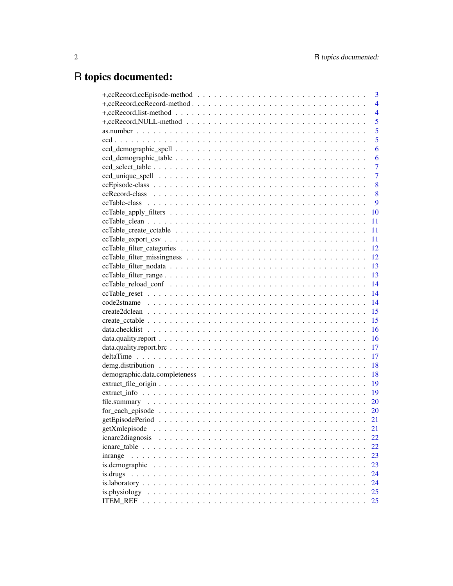## R topics documented:

|                  | 3              |
|------------------|----------------|
|                  | $\overline{4}$ |
|                  | $\overline{4}$ |
|                  | 5              |
|                  | 5              |
|                  | 5              |
|                  | 6              |
|                  | 6              |
|                  | $\overline{7}$ |
|                  | $\overline{7}$ |
|                  | 8              |
|                  | 8              |
|                  | 9              |
|                  | 10             |
|                  | 11             |
|                  | 11             |
|                  | 11             |
|                  | 12             |
|                  | 12             |
|                  | 13             |
|                  | 13             |
|                  | 14             |
|                  |                |
|                  |                |
|                  |                |
|                  |                |
|                  | <b>16</b>      |
|                  | 16             |
|                  | 17             |
|                  | 17             |
|                  | 18             |
|                  | 18             |
|                  | 19             |
|                  | 19             |
|                  | 20             |
|                  | 20             |
|                  | 21             |
| getXmlepisode    | 21             |
| icnarc2diagnosis | 22             |
|                  | 22             |
| inrange          | 23             |
| is.demographic   | 23             |
| is.drugs         | 24             |
|                  | 24             |
| is.physiology    | 25             |
|                  | 25             |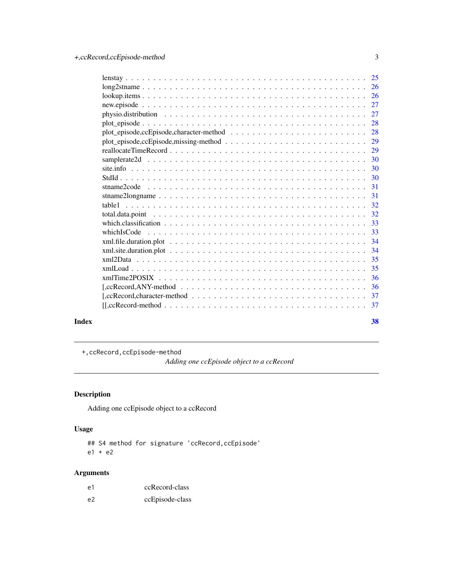<span id="page-2-0"></span>

|       |                                                                                                                                        | -33 |
|-------|----------------------------------------------------------------------------------------------------------------------------------------|-----|
|       |                                                                                                                                        | 34  |
|       |                                                                                                                                        |     |
|       |                                                                                                                                        | 35  |
|       |                                                                                                                                        | -35 |
|       |                                                                                                                                        | 36  |
|       | $[,\text{ccRecord}, \text{ANY-method} \dots \dots \dots \dots \dots \dots \dots \dots \dots \dots \dots \dots \dots \dots \dots \dots$ |     |
|       |                                                                                                                                        |     |
|       |                                                                                                                                        |     |
| Index |                                                                                                                                        | 38  |

+,ccRecord,ccEpisode-method

*Adding one ccEpisode object to a ccRecord*

### Description

Adding one ccEpisode object to a ccRecord

### Usage

## S4 method for signature 'ccRecord,ccEpisode' e1 + e2

| e1 | ccRecord-class  |
|----|-----------------|
| e2 | ccEpisode-class |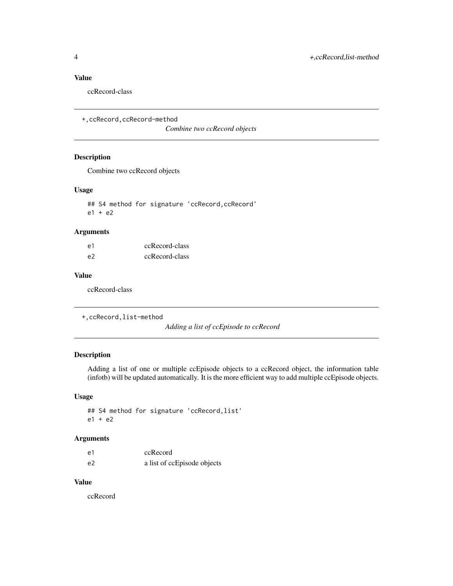### <span id="page-3-0"></span>Value

ccRecord-class

+,ccRecord,ccRecord-method

*Combine two ccRecord objects*

### Description

Combine two ccRecord objects

#### Usage

## S4 method for signature 'ccRecord, ccRecord'  $e1 + e2$ 

### Arguments

| e1 | ccRecord-class |
|----|----------------|
| e2 | ccRecord-class |

#### Value

ccRecord-class

+,ccRecord,list-method

*Adding a list of ccEpisode to ccRecord*

### Description

Adding a list of one or multiple ccEpisode objects to a ccRecord object, the information table (infotb) will be updated automatically. It is the more efficient way to add multiple ccEpisode objects.

### Usage

## S4 method for signature 'ccRecord,list' e1 + e2

#### Arguments

| e1 | ccRecord                    |
|----|-----------------------------|
| e2 | a list of ccEpisode objects |

### Value

ccRecord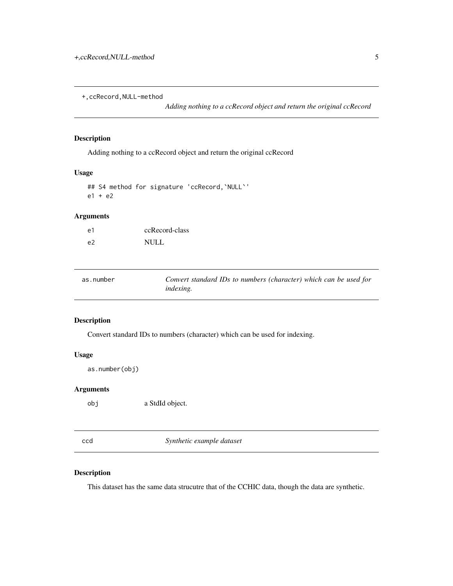<span id="page-4-0"></span>+,ccRecord,NULL-method

*Adding nothing to a ccRecord object and return the original ccRecord*

#### Description

Adding nothing to a ccRecord object and return the original ccRecord

#### Usage

```
## S4 method for signature 'ccRecord,`NULL`'
e1 + e2
```
### Arguments

| e1 | ccRecord-class |
|----|----------------|
| e2 | <b>NULL</b>    |

| as.number | Convert standard IDs to numbers (character) which can be used for |
|-----------|-------------------------------------------------------------------|
|           | <i>indexing.</i>                                                  |

### Description

Convert standard IDs to numbers (character) which can be used for indexing.

### Usage

as.number(obj)

### Arguments

obj a StdId object.

ccd *Synthetic example dataset*

### Description

This dataset has the same data strucutre that of the CCHIC data, though the data are synthetic.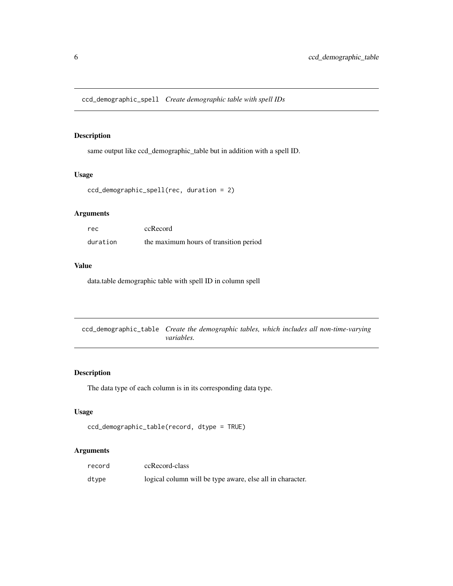<span id="page-5-0"></span>same output like ccd\_demographic\_table but in addition with a spell ID.

### Usage

```
ccd_demographic_spell(rec, duration = 2)
```
### Arguments

| rec      | ccRecord                               |
|----------|----------------------------------------|
| duration | the maximum hours of transition period |

#### Value

data.table demographic table with spell ID in column spell

ccd\_demographic\_table *Create the demographic tables, which includes all non-time-varying variables.*

### Description

The data type of each column is in its corresponding data type.

### Usage

```
ccd_demographic_table(record, dtype = TRUE)
```

| record | ccRecord-class                                            |
|--------|-----------------------------------------------------------|
| dtype  | logical column will be type aware, else all in character. |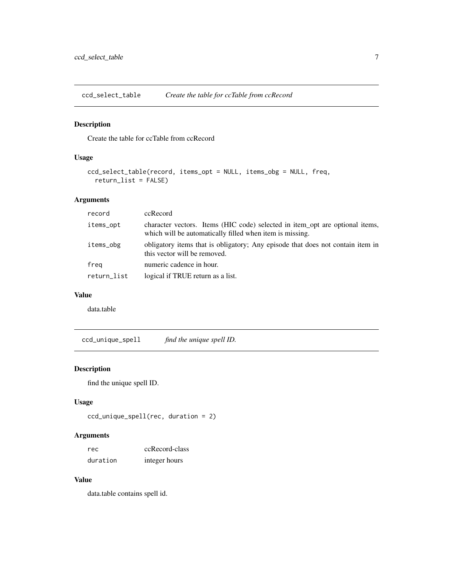<span id="page-6-0"></span>ccd\_select\_table *Create the table for ccTable from ccRecord*

#### Description

Create the table for ccTable from ccRecord

### Usage

```
ccd_select_table(record, items_opt = NULL, items_obg = NULL, freq,
  return_list = FALSE)
```
### Arguments

| record      | ccRecord                                                                                                                                 |
|-------------|------------------------------------------------------------------------------------------------------------------------------------------|
| items_opt   | character vectors. Items (HIC code) selected in item_opt are optional items,<br>which will be automatically filled when item is missing. |
| items_obg   | obligatory items that is obligatory; Any episode that does not contain item in<br>this vector will be removed.                           |
| freg        | numeric cadence in hour.                                                                                                                 |
| return_list | logical if TRUE return as a list.                                                                                                        |

#### Value

data.table

ccd\_unique\_spell *find the unique spell ID.*

### Description

find the unique spell ID.

### Usage

```
ccd_unique_spell(rec, duration = 2)
```
### Arguments

| rec      | ccRecord-class |
|----------|----------------|
| duration | integer hours  |

#### Value

data.table contains spell id.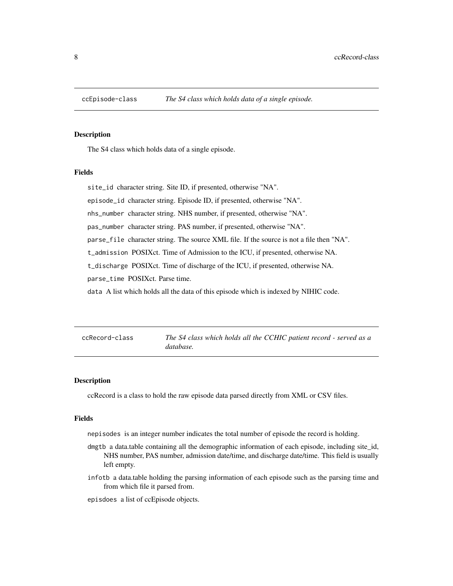<span id="page-7-0"></span>

The S4 class which holds data of a single episode.

#### Fields

site\_id character string. Site ID, if presented, otherwise "NA".

episode\_id character string. Episode ID, if presented, otherwise "NA".

nhs\_number character string. NHS number, if presented, otherwise "NA".

pas\_number character string. PAS number, if presented, otherwise "NA".

parse\_file character string. The source XML file. If the source is not a file then "NA".

t\_admission POSIXct. Time of Admission to the ICU, if presented, otherwise NA.

t\_discharge POSIXct. Time of discharge of the ICU, if presented, otherwise NA.

parse\_time POSIXct. Parse time.

data A list which holds all the data of this episode which is indexed by NIHIC code.

The S4 class which holds all the CCHIC patient record - served as a *database.*

#### Description

ccRecord is a class to hold the raw episode data parsed directly from XML or CSV files.

#### Fields

nepisodes is an integer number indicates the total number of episode the record is holding.

- dmgtb a data.table containing all the demographic information of each episode, including site\_id, NHS number, PAS number, admission date/time, and discharge date/time. This field is usually left empty.
- infotb a data.table holding the parsing information of each episode such as the parsing time and from which file it parsed from.

episdoes a list of ccEpisode objects.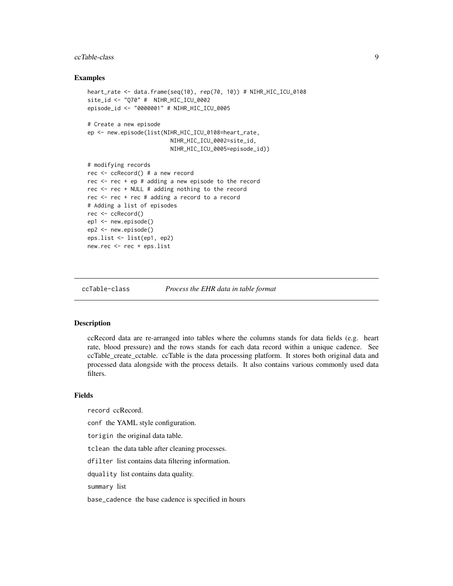#### <span id="page-8-0"></span>ccTable-class 9

#### Examples

```
heart_rate <- data.frame(seq(10), rep(70, 10)) # NIHR_HIC_ICU_0108
site_id <- "Q70" # NIHR_HIC_ICU_0002
episode_id <- "0000001" # NIHR_HIC_ICU_0005
# Create a new episode
ep <- new.episode(list(NIHR_HIC_ICU_0108=heart_rate,
                        NIHR_HIC_ICU_0002=site_id,
                        NIHR_HIC_ICU_0005=episode_id))
# modifying records
rec <- ccRecord() # a new record
rec <- rec + ep # adding a new episode to the record
rec <- rec + NULL # adding nothing to the record
rec <- rec + rec # adding a record to a record
# Adding a list of episodes
rec <- ccRecord()
ep1 <- new.episode()
ep2 <- new.episode()
eps.list <- list(ep1, ep2)
new.rec <- rec + eps.list
```
ccTable-class *Process the EHR data in table format*

#### Description

ccRecord data are re-arranged into tables where the columns stands for data fields (e.g. heart rate, blood pressure) and the rows stands for each data record within a unique cadence. See ccTable\_create\_cctable. ccTable is the data processing platform. It stores both original data and processed data alongside with the process details. It also contains various commonly used data filters.

#### Fields

record ccRecord.

conf the YAML style configuration.

torigin the original data table.

tclean the data table after cleaning processes.

dfilter list contains data filtering information.

dquality list contains data quality.

summary list

base\_cadence the base cadence is specified in hours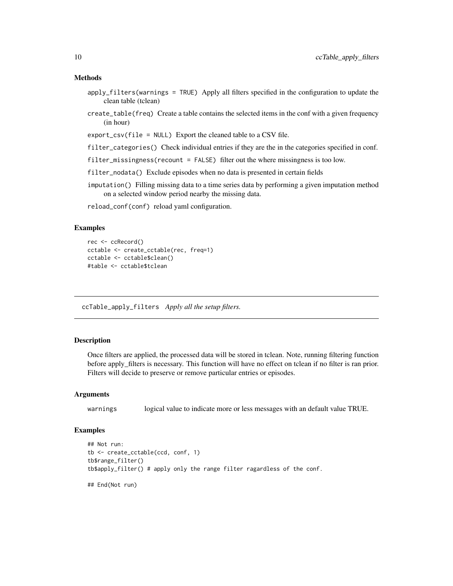#### <span id="page-9-0"></span>Methods

- apply\_filters(warnings = TRUE) Apply all filters specified in the configuration to update the clean table (tclean)
- create\_table(freq) Create a table contains the selected items in the conf with a given frequency (in hour)
- export\_csv(file = NULL) Export the cleaned table to a CSV file.
- filter\_categories() Check individual entries if they are the in the categories specified in conf.
- filter\_missingness(recount = FALSE) filter out the where missingness is too low.
- filter\_nodata() Exclude episodes when no data is presented in certain fields
- imputation() Filling missing data to a time series data by performing a given imputation method on a selected window period nearby the missing data.

reload\_conf(conf) reload yaml configuration.

#### Examples

```
rec <- ccRecord()
cctable <- create_cctable(rec, freq=1)
cctable <- cctable$clean()
#table <- cctable$tclean
```
ccTable\_apply\_filters *Apply all the setup filters.*

#### Description

Once filters are applied, the processed data will be stored in tclean. Note, running filtering function before apply\_filters is necessary. This function will have no effect on tclean if no filter is ran prior. Filters will decide to preserve or remove particular entries or episodes.

#### Arguments

warnings logical value to indicate more or less messages with an default value TRUE.

#### Examples

```
## Not run:
tb <- create_cctable(ccd, conf, 1)
tb$range_filter()
tb$apply_filter() # apply only the range filter ragardless of the conf.
## End(Not run)
```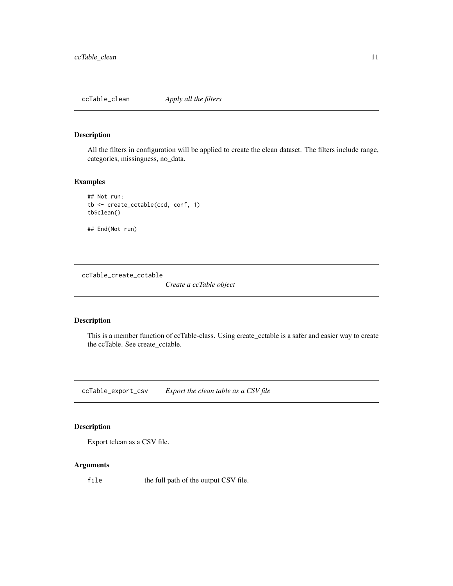<span id="page-10-0"></span>All the filters in configuration will be applied to create the clean dataset. The filters include range, categories, missingness, no\_data.

#### Examples

```
## Not run:
tb <- create_cctable(ccd, conf, 1)
tb$clean()
```
## End(Not run)

ccTable\_create\_cctable

*Create a ccTable object*

### Description

This is a member function of ccTable-class. Using create\_cctable is a safer and easier way to create the ccTable. See create\_cctable.

ccTable\_export\_csv *Export the clean table as a CSV file*

### Description

Export tclean as a CSV file.

#### Arguments

file the full path of the output CSV file.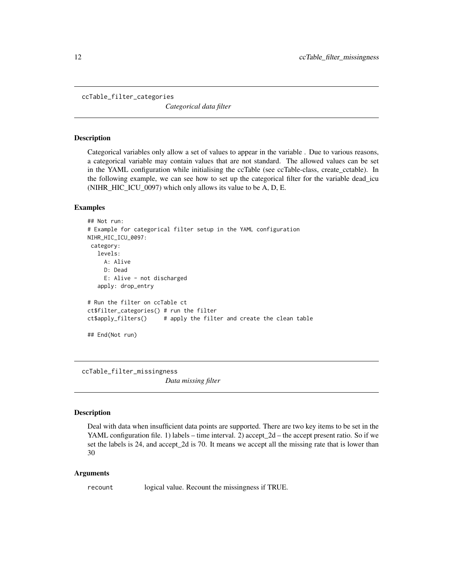<span id="page-11-0"></span>ccTable\_filter\_categories

*Categorical data filter*

#### **Description**

Categorical variables only allow a set of values to appear in the variable . Due to various reasons, a categorical variable may contain values that are not standard. The allowed values can be set in the YAML configuration while initialising the ccTable (see ccTable-class, create\_cctable). In the following example, we can see how to set up the categorical filter for the variable dead\_icu (NIHR\_HIC\_ICU\_0097) which only allows its value to be A, D, E.

#### Examples

```
## Not run:
# Example for categorical filter setup in the YAML configuration
NIHR_HIC_ICU_0097:
category:
  levels:
     A: Alive
     D: Dead
    E: Alive - not discharged
  apply: drop_entry
# Run the filter on ccTable ct
ct$filter_categories() # run the filter
ct$apply_filters() # apply the filter and create the clean table
## End(Not run)
```
ccTable\_filter\_missingness

*Data missing filter*

#### Description

Deal with data when insufficient data points are supported. There are two key items to be set in the YAML configuration file. 1) labels – time interval. 2) accept\_2d – the accept present ratio. So if we set the labels is 24, and accept\_2d is 70. It means we accept all the missing rate that is lower than 30

#### **Arguments**

recount logical value. Recount the missingness if TRUE.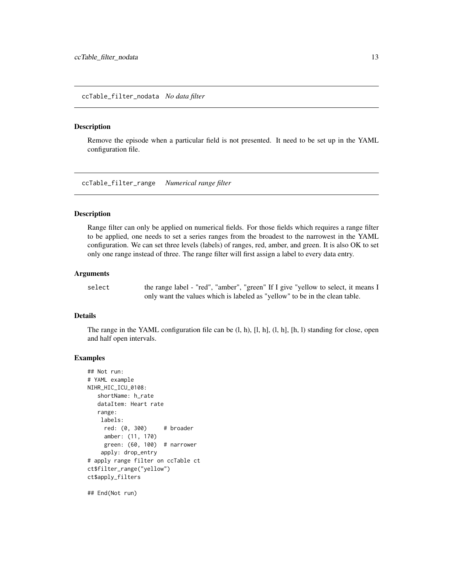<span id="page-12-0"></span>ccTable\_filter\_nodata *No data filter*

#### Description

Remove the episode when a particular field is not presented. It need to be set up in the YAML configuration file.

ccTable\_filter\_range *Numerical range filter*

#### Description

Range filter can only be applied on numerical fields. For those fields which requires a range filter to be applied, one needs to set a series ranges from the broadest to the narrowest in the YAML configuration. We can set three levels (labels) of ranges, red, amber, and green. It is also OK to set only one range instead of three. The range filter will first assign a label to every data entry.

#### **Arguments**

select the range label - "red", "amber", "green" If I give "yellow to select, it means I only want the values which is labeled as "yellow" to be in the clean table.

#### Details

The range in the YAML configuration file can be (l, h), [l, h], (l, h], [h, l) standing for close, open and half open intervals.

#### Examples

```
## Not run:
# YAML example
NIHR_HIC_ICU_0108:
   shortName: h_rate
   dataItem: Heart rate
   range:
   labels:
    red: (0, 300) # broader
     amber: (11, 170)
     green: (60, 100) # narrower
    apply: drop_entry
# apply range filter on ccTable ct
ct$filter_range("yellow")
ct$apply_filters
```
## End(Not run)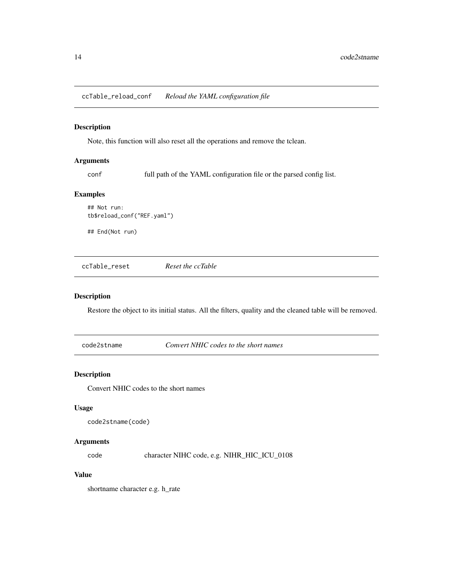<span id="page-13-0"></span>ccTable\_reload\_conf *Reload the YAML configuration file*

### Description

Note, this function will also reset all the operations and remove the tclean.

#### Arguments

conf full path of the YAML configuration file or the parsed config list.

#### Examples

```
## Not run:
tb$reload_conf("REF.yaml")
```
## End(Not run)

ccTable\_reset *Reset the ccTable*

#### Description

Restore the object to its initial status. All the filters, quality and the cleaned table will be removed.

code2stname *Convert NHIC codes to the short names*

#### Description

Convert NHIC codes to the short names

#### Usage

```
code2stname(code)
```
#### Arguments

code character NIHC code, e.g. NIHR\_HIC\_ICU\_0108

#### Value

shortname character e.g. h\_rate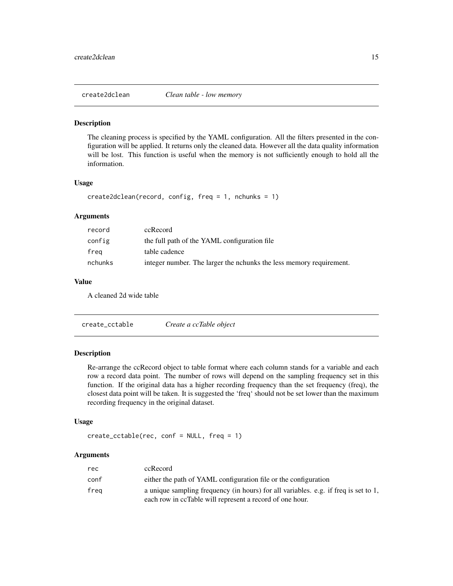<span id="page-14-0"></span>

The cleaning process is specified by the YAML configuration. All the filters presented in the configuration will be applied. It returns only the cleaned data. However all the data quality information will be lost. This function is useful when the memory is not sufficiently enough to hold all the information.

#### Usage

```
create2dclean(record, config, freq = 1, nchunks = 1)
```
### Arguments

| record  | ccRecord                                                            |
|---------|---------------------------------------------------------------------|
| config  | the full path of the YAML configuration file                        |
| frea    | table cadence                                                       |
| nchunks | integer number. The larger the nchunks the less memory requirement. |

### Value

A cleaned 2d wide table

| create_cctable | Create a ccTable object |
|----------------|-------------------------|
|----------------|-------------------------|

#### Description

Re-arrange the ccRecord object to table format where each column stands for a variable and each row a record data point. The number of rows will depend on the sampling frequency set in this function. If the original data has a higher recording frequency than the set frequency (freq), the closest data point will be taken. It is suggested the 'freq' should not be set lower than the maximum recording frequency in the original dataset.

#### Usage

```
create_cctable(rec, conf = NULL, freq = 1)
```

| rec  | ccRecord                                                                            |
|------|-------------------------------------------------------------------------------------|
| conf | either the path of YAML configuration file or the configuration                     |
| frea | a unique sampling frequency (in hours) for all variables. e.g. if freq is set to 1, |
|      | each row in ccTable will represent a record of one hour.                            |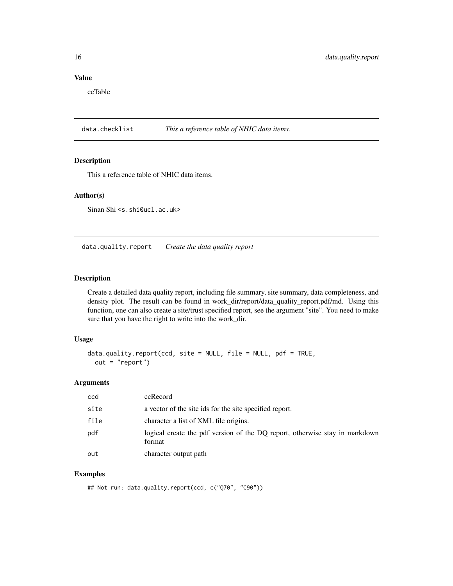### Value

ccTable

data.checklist *This a reference table of NHIC data items.*

#### Description

This a reference table of NHIC data items.

#### Author(s)

Sinan Shi <s.shi@ucl.ac.uk>

data.quality.report *Create the data quality report*

#### Description

Create a detailed data quality report, including file summary, site summary, data completeness, and density plot. The result can be found in work\_dir/report/data\_quality\_report.pdf/md. Using this function, one can also create a site/trust specified report, see the argument "site". You need to make sure that you have the right to write into the work\_dir.

#### Usage

```
data.quality.report(ccd, site = NULL, file = NULL, pdf = TRUE,
 out = "report")
```
#### Arguments

| ccd  | ccRecord                                                                              |
|------|---------------------------------------------------------------------------------------|
| site | a vector of the site ids for the site specified report.                               |
| file | character a list of XML file origins.                                                 |
| pdf  | logical create the pdf version of the DQ report, otherwise stay in markdown<br>format |
| out  | character output path                                                                 |

#### Examples

## Not run: data.quality.report(ccd, c("Q70", "C90"))

<span id="page-15-0"></span>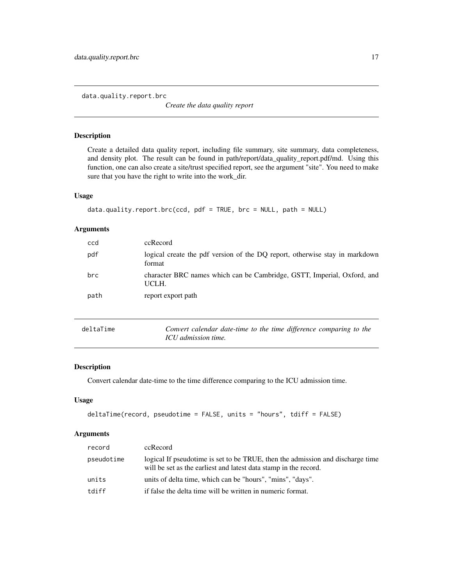<span id="page-16-0"></span>data.quality.report.brc

*Create the data quality report*

#### Description

Create a detailed data quality report, including file summary, site summary, data completeness, and density plot. The result can be found in path/report/data\_quality\_report.pdf/md. Using this function, one can also create a site/trust specified report, see the argument "site". You need to make sure that you have the right to write into the work\_dir.

#### Usage

```
data.quality.report.brc(ccd, pdf = TRUE, brc = NULL, path = NULL)
```
#### Arguments

| ccd       | ccRecord                                                                                  |
|-----------|-------------------------------------------------------------------------------------------|
| pdf       | logical create the pdf version of the DQ report, otherwise stay in markdown<br>format     |
| brc       | character BRC names which can be Cambridge, GSTT, Imperial, Oxford, and<br>UCLH.          |
| path      | report export path                                                                        |
| deltaTime | Convert calendar date-time to the time difference comparing to the<br>ICU admission time. |

### Description

Convert calendar date-time to the time difference comparing to the ICU admission time.

#### Usage

```
deltaTime(record, pseudotime = FALSE, units = "hours", tdiff = FALSE)
```

| record     | ccRecord                                                                                                                                           |
|------------|----------------------------------------------------------------------------------------------------------------------------------------------------|
| pseudotime | logical If pseudotime is set to be TRUE, then the admission and discharge time<br>will be set as the earliest and latest data stamp in the record. |
| units      | units of delta time, which can be "hours", "mins", "days".                                                                                         |
| tdiff      | if false the delta time will be written in numeric format.                                                                                         |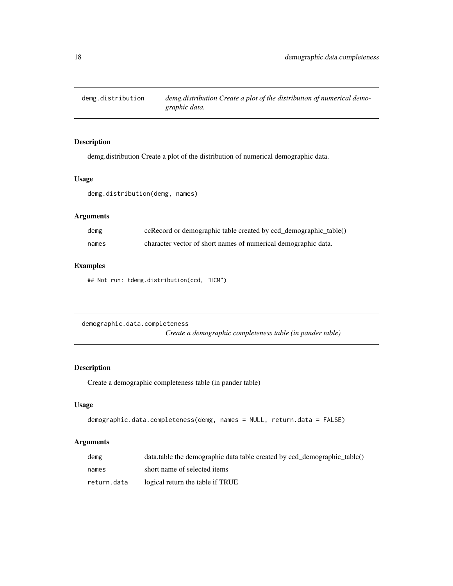<span id="page-17-0"></span>

demg.distribution Create a plot of the distribution of numerical demographic data.

### Usage

demg.distribution(demg, names)

### Arguments

| demg  | ccRecord or demographic table created by ccd_demographic_table() |
|-------|------------------------------------------------------------------|
| names | character vector of short names of numerical demographic data.   |

#### Examples

## Not run: tdemg.distribution(ccd, "HCM")

demographic.data.completeness *Create a demographic completeness table (in pander table)*

### Description

Create a demographic completeness table (in pander table)

#### Usage

```
demographic.data.completeness(demg, names = NULL, return.data = FALSE)
```

| demg        | data.table the demographic data table created by ccd_demographic_table() |
|-------------|--------------------------------------------------------------------------|
| names       | short name of selected items                                             |
| return.data | logical return the table if TRUE                                         |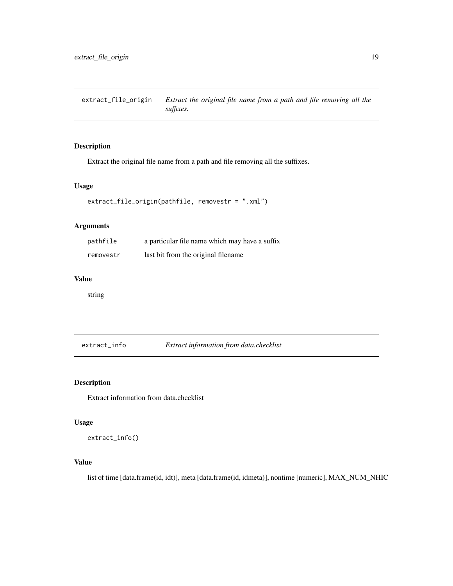<span id="page-18-0"></span>extract\_file\_origin *Extract the original file name from a path and file removing all the suffixes.*

### Description

Extract the original file name from a path and file removing all the suffixes.

#### Usage

```
extract_file_origin(pathfile, removestr = ".xml")
```
### Arguments

| pathfile  | a particular file name which may have a suffix |
|-----------|------------------------------------------------|
| removestr | last bit from the original filename            |

#### Value

string

extract\_info *Extract information from data.checklist*

### Description

Extract information from data.checklist

#### Usage

```
extract_info()
```
### Value

list of time [data.frame(id, idt)], meta [data.frame(id, idmeta)], nontime [numeric], MAX\_NUM\_NHIC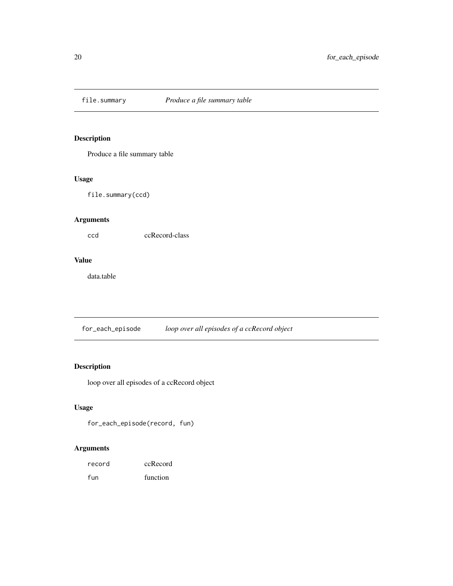<span id="page-19-0"></span>

Produce a file summary table

### Usage

file.summary(ccd)

### Arguments

ccd ccRecord-class

### Value

data.table

for\_each\_episode *loop over all episodes of a ccRecord object*

### Description

loop over all episodes of a ccRecord object

### Usage

```
for_each_episode(record, fun)
```

| record | ccRecord |
|--------|----------|
| fun    | function |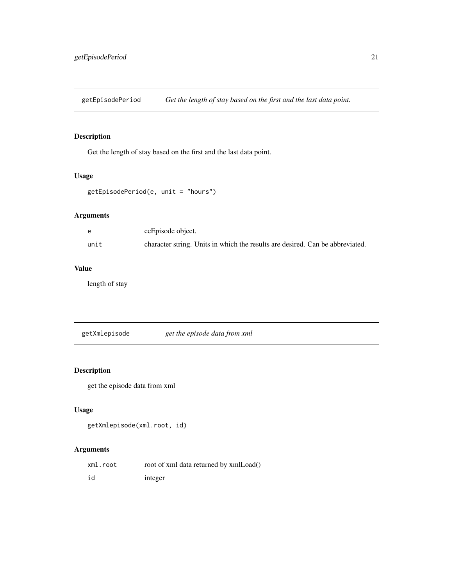<span id="page-20-0"></span>getEpisodePeriod *Get the length of stay based on the first and the last data point.*

### Description

Get the length of stay based on the first and the last data point.

#### Usage

```
getEpisodePeriod(e, unit = "hours")
```
### Arguments

|      | ccEpisode object.                                                             |
|------|-------------------------------------------------------------------------------|
| unit | character string. Units in which the results are desired. Can be abbreviated. |

### Value

length of stay

getXmlepisode *get the episode data from xml*

### Description

get the episode data from xml

### Usage

```
getXmlepisode(xml.root, id)
```

| xml.root | root of xml data returned by xmlLoad() |
|----------|----------------------------------------|
| id       | integer                                |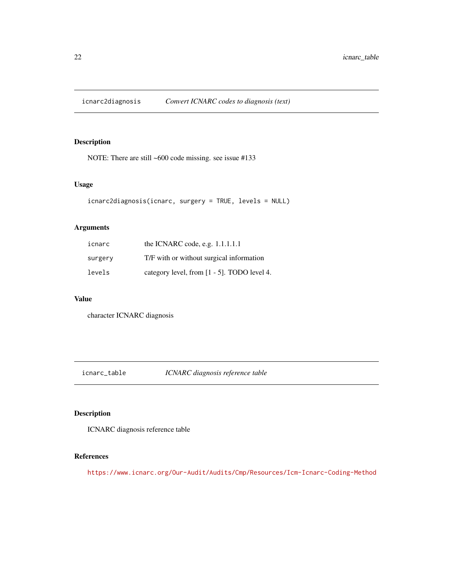<span id="page-21-0"></span>

NOTE: There are still ~600 code missing. see issue #133

#### Usage

```
icnarc2diagnosis(icnarc, surgery = TRUE, levels = NULL)
```
### Arguments

| icnarc  | the ICNARC code, e.g. $1.1.1.1.1$           |
|---------|---------------------------------------------|
| surgery | T/F with or without surgical information    |
| levels  | category level, from [1 - 5]. TODO level 4. |

#### Value

character ICNARC diagnosis

icnarc\_table *ICNARC diagnosis reference table*

### Description

ICNARC diagnosis reference table

### References

<https://www.icnarc.org/Our-Audit/Audits/Cmp/Resources/Icm-Icnarc-Coding-Method>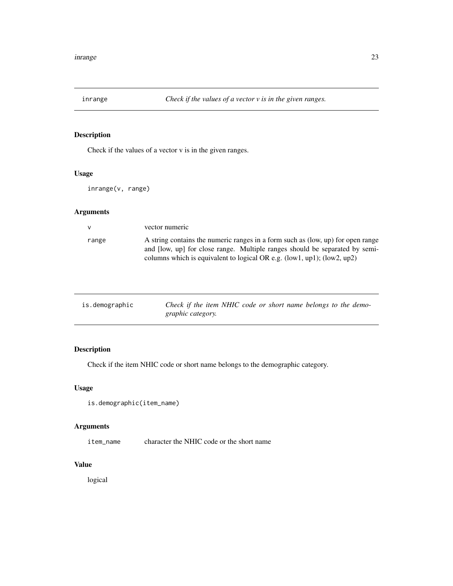<span id="page-22-0"></span>

Check if the values of a vector v is in the given ranges.

### Usage

inrange(v, range)

### Arguments

| $\mathbf{v}$ | vector numeric                                                                                                                                                                                                                                 |
|--------------|------------------------------------------------------------------------------------------------------------------------------------------------------------------------------------------------------------------------------------------------|
| range        | A string contains the numeric ranges in a form such as (low, up) for open range<br>and [low, up] for close range. Multiple ranges should be separated by semi-<br>columns which is equivalent to logical OR e.g. $(low1, up1)$ ; $(low2, up2)$ |

| is.demographic | Check if the item NHIC code or short name belongs to the demo- |
|----------------|----------------------------------------------------------------|
|                | <i>graphic category.</i>                                       |

## Description

Check if the item NHIC code or short name belongs to the demographic category.

### Usage

```
is.demographic(item_name)
```
### Arguments

item\_name character the NHIC code or the short name

### Value

logical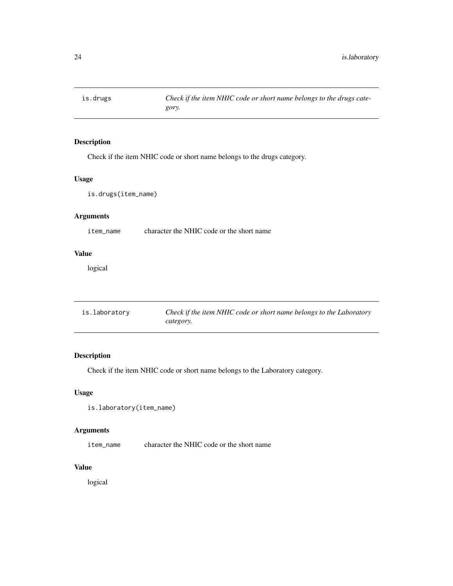<span id="page-23-0"></span>

Check if the item NHIC code or short name belongs to the drugs category.

### Usage

is.drugs(item\_name)

### Arguments

item\_name character the NHIC code or the short name

### Value

logical

| is.laboratory | Check if the item NHIC code or short name belongs to the Laboratory |
|---------------|---------------------------------------------------------------------|
|               | category.                                                           |

### Description

Check if the item NHIC code or short name belongs to the Laboratory category.

### Usage

```
is.laboratory(item_name)
```
### Arguments

item\_name character the NHIC code or the short name

### Value

logical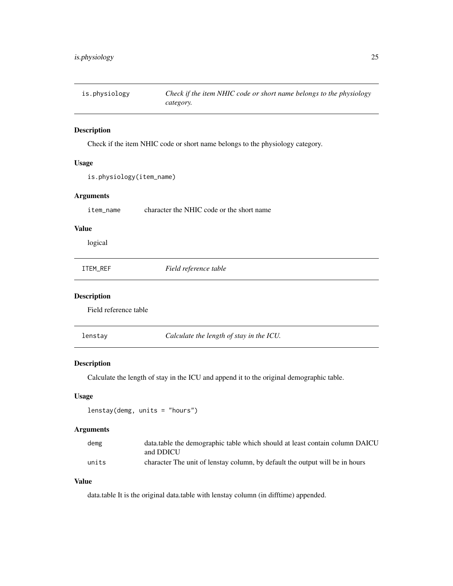<span id="page-24-0"></span>is.physiology *Check if the item NHIC code or short name belongs to the physiology category.*

### Description

Check if the item NHIC code or short name belongs to the physiology category.

### Usage

```
is.physiology(item_name)
```
#### Arguments

item\_name character the NHIC code or the short name

### Value

logical

| ITEM REF |  |
|----------|--|
|----------|--|

 $Field$  reference table

#### Description

Field reference table

lenstay *Calculate the length of stay in the ICU.*

#### Description

Calculate the length of stay in the ICU and append it to the original demographic table.

#### Usage

```
lenstay(demg, units = "hours")
```
#### Arguments

| demg  | data.table the demographic table which should at least contain column DAICU  |
|-------|------------------------------------------------------------------------------|
|       | and DDICU                                                                    |
| units | character The unit of lenstay column, by default the output will be in hours |

### Value

data.table It is the original data.table with lenstay column (in difftime) appended.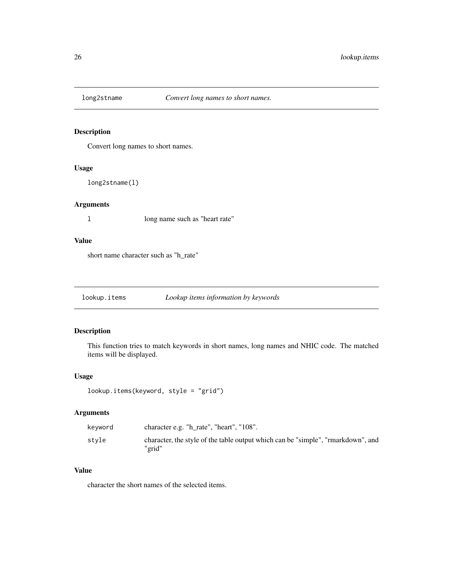<span id="page-25-0"></span>

Convert long names to short names.

#### Usage

long2stname(l)

#### Arguments

l long name such as "heart rate"

### Value

short name character such as "h\_rate"

lookup.items *Lookup items information by keywords*

### Description

This function tries to match keywords in short names, long names and NHIC code. The matched items will be displayed.

#### Usage

```
lookup.items(keyword, style = "grid")
```
### Arguments

| character e.g. "h_rate", "heart", "108".<br>kevword                                                 |  |
|-----------------------------------------------------------------------------------------------------|--|
| stvle<br>character, the style of the table output which can be "simple", "rmarkdown", and<br>"grid" |  |

#### Value

character the short names of the selected items.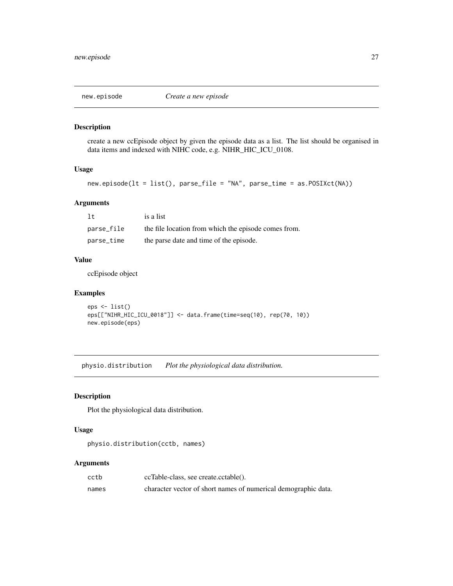<span id="page-26-0"></span>

create a new ccEpisode object by given the episode data as a list. The list should be organised in data items and indexed with NIHC code, e.g. NIHR\_HIC\_ICU\_0108.

#### Usage

new.episode(lt = list(), parse\_file = "NA", parse\_time = as.POSIXct(NA))

#### Arguments

| 1t         | is a list                                            |
|------------|------------------------------------------------------|
| parse_file | the file location from which the episode comes from. |
| parse_time | the parse date and time of the episode.              |

#### Value

ccEpisode object

#### Examples

```
eps \leftarrow list()eps[["NIHR_HIC_ICU_0018"]] <- data.frame(time=seq(10), rep(70, 10))
new.episode(eps)
```
physio.distribution *Plot the physiological data distribution.*

#### Description

Plot the physiological data distribution.

#### Usage

```
physio.distribution(cctb, names)
```

| cctb  | ccTable-class, see create.cctable().                           |
|-------|----------------------------------------------------------------|
| names | character vector of short names of numerical demographic data. |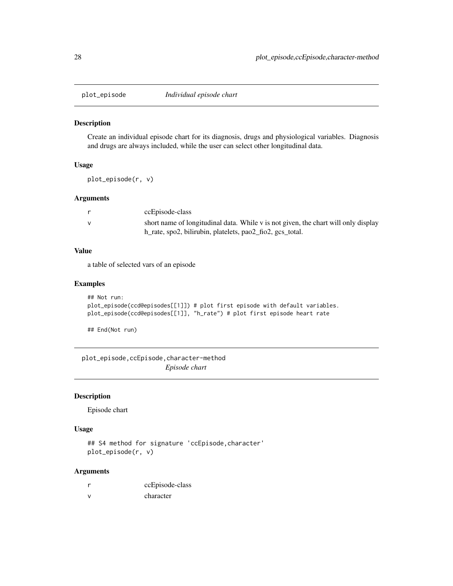<span id="page-27-0"></span>

Create an individual episode chart for its diagnosis, drugs and physiological variables. Diagnosis and drugs are always included, while the user can select other longitudinal data.

#### Usage

plot\_episode(r, v)

#### Arguments

| ccEpisode-class                                                                    |
|------------------------------------------------------------------------------------|
| short name of longitudinal data. While v is not given, the chart will only display |
| h_rate, spo2, bilirubin, platelets, pao2_fio2, gcs_total.                          |

### Value

a table of selected vars of an episode

#### Examples

```
## Not run:
plot_episode(ccd@episodes[[1]]) # plot first episode with default variables.
plot_episode(ccd@episodes[[1]], "h_rate") # plot first episode heart rate
```
## End(Not run)

plot\_episode,ccEpisode,character-method *Episode chart*

#### Description

Episode chart

#### Usage

## S4 method for signature 'ccEpisode,character' plot\_episode(r, v)

|               | ccEpisode-class |
|---------------|-----------------|
| $\mathcal{N}$ | character       |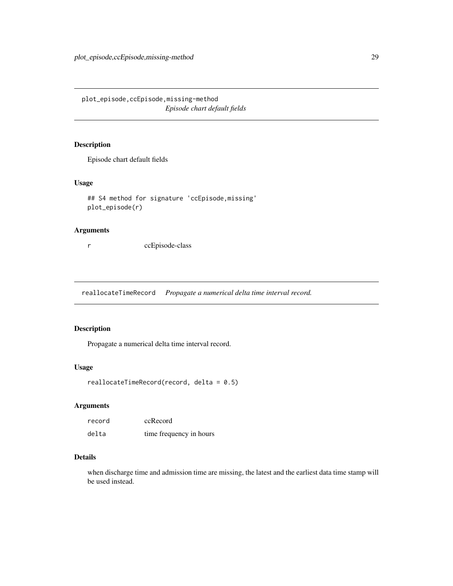<span id="page-28-0"></span>plot\_episode,ccEpisode,missing-method *Episode chart default fields*

### Description

Episode chart default fields

#### Usage

```
## S4 method for signature 'ccEpisode,missing'
plot_episode(r)
```
#### Arguments

r ccEpisode-class

reallocateTimeRecord *Propagate a numerical delta time interval record.*

### Description

Propagate a numerical delta time interval record.

#### Usage

```
reallocateTimeRecord(record, delta = 0.5)
```
### Arguments

| record | ccRecord                |
|--------|-------------------------|
| delta  | time frequency in hours |

### Details

when discharge time and admission time are missing, the latest and the earliest data time stamp will be used instead.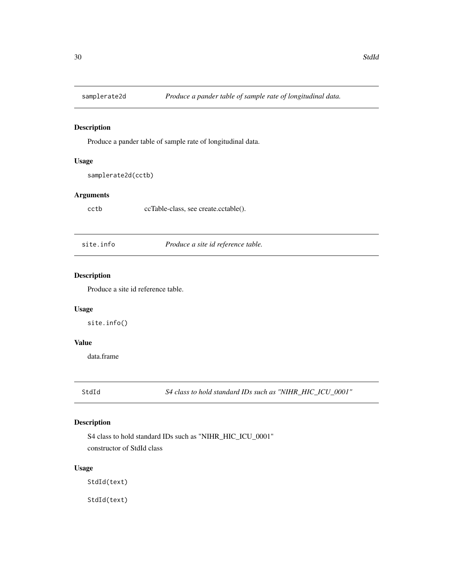<span id="page-29-0"></span>

Produce a pander table of sample rate of longitudinal data.

#### Usage

samplerate2d(cctb)

### Arguments

cctb ccTable-class, see create.cctable().

site.info *Produce a site id reference table.*

### Description

Produce a site id reference table.

#### Usage

site.info()

### Value

data.frame

StdId *S4 class to hold standard IDs such as "NIHR\_HIC\_ICU\_0001"*

### Description

S4 class to hold standard IDs such as "NIHR\_HIC\_ICU\_0001" constructor of StdId class

#### Usage

StdId(text)

StdId(text)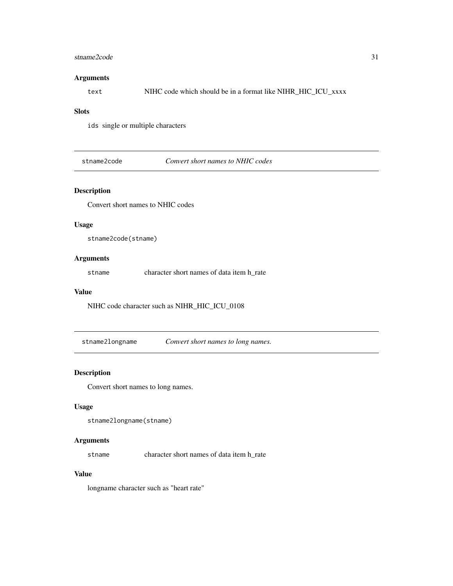#### <span id="page-30-0"></span>stname2code 31

#### Arguments

text NIHC code which should be in a format like NIHR\_HIC\_ICU\_xxxx

#### **Slots**

ids single or multiple characters

stname2code *Convert short names to NHIC codes*

### Description

Convert short names to NHIC codes

#### Usage

stname2code(stname)

### Arguments

stname character short names of data item h\_rate

#### Value

NIHC code character such as NIHR\_HIC\_ICU\_0108

stname2longname *Convert short names to long names.*

#### Description

Convert short names to long names.

### Usage

```
stname2longname(stname)
```
#### Arguments

stname character short names of data item h\_rate

#### Value

longname character such as "heart rate"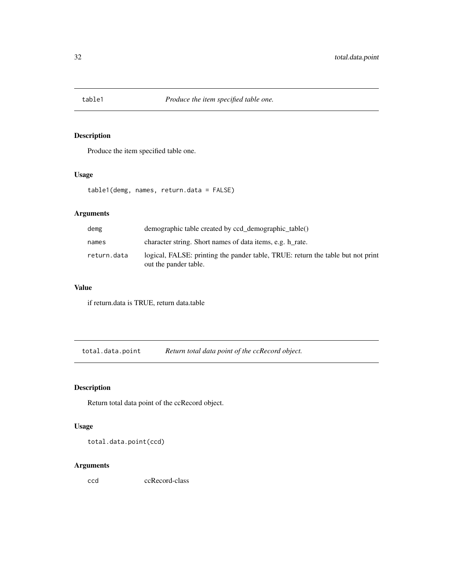<span id="page-31-0"></span>

Produce the item specified table one.

### Usage

table1(demg, names, return.data = FALSE)

### Arguments

| demg        | demographic table created by ccd_demographic_table()                                                     |
|-------------|----------------------------------------------------------------------------------------------------------|
| names       | character string. Short names of data items, e.g. h rate.                                                |
| return.data | logical, FALSE: printing the pander table, TRUE: return the table but not print<br>out the pander table. |

### Value

if return.data is TRUE, return data.table

total.data.point *Return total data point of the ccRecord object.*

### Description

Return total data point of the ccRecord object.

### Usage

total.data.point(ccd)

#### Arguments

ccd ccRecord-class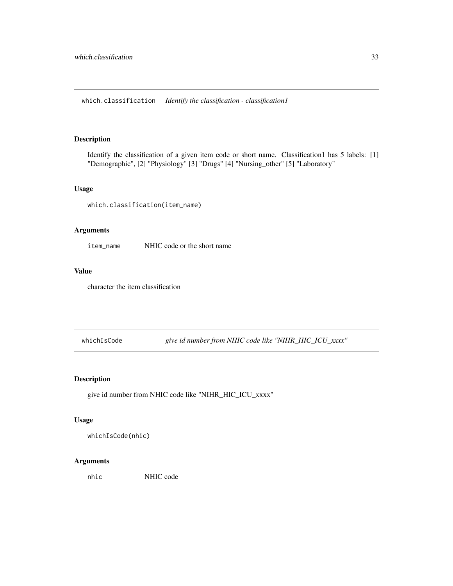<span id="page-32-0"></span>which.classification *Identify the classification - classification1*

#### Description

Identify the classification of a given item code or short name. Classification1 has 5 labels: [1] "Demographic", [2] "Physiology" [3] "Drugs" [4] "Nursing\_other" [5] "Laboratory"

#### Usage

which.classification(item\_name)

#### Arguments

item\_name NHIC code or the short name

#### Value

character the item classification

whichIsCode *give id number from NHIC code like "NIHR\_HIC\_ICU\_xxxx"*

### Description

give id number from NHIC code like "NIHR\_HIC\_ICU\_xxxx"

#### Usage

whichIsCode(nhic)

#### Arguments

nhic NHIC code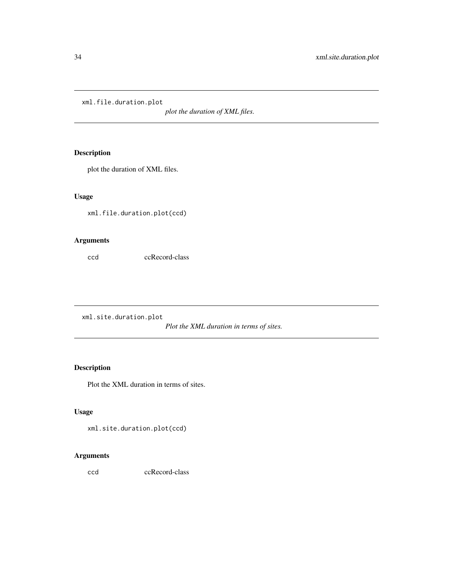<span id="page-33-0"></span>xml.file.duration.plot

*plot the duration of XML files.*

### Description

plot the duration of XML files.

#### Usage

xml.file.duration.plot(ccd)

### Arguments

ccd ccRecord-class

xml.site.duration.plot

*Plot the XML duration in terms of sites.*

### Description

Plot the XML duration in terms of sites.

### Usage

xml.site.duration.plot(ccd)

### Arguments

ccd ccRecord-class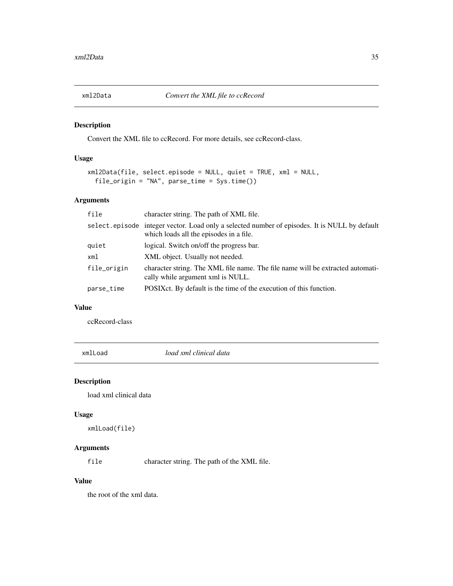<span id="page-34-0"></span>

Convert the XML file to ccRecord. For more details, see ccRecord-class.

### Usage

```
xml2Data(file, select.episode = NULL, quiet = TRUE, xml = NULL,
  file_origin = "NA", parse_time = Sys.time())
```
### Arguments

| file        | character string. The path of XML file.                                                                                                  |
|-------------|------------------------------------------------------------------------------------------------------------------------------------------|
|             | select.episode integer vector. Load only a selected number of episodes. It is NULL by default<br>which loads all the episodes in a file. |
| quiet       | logical. Switch on/off the progress bar.                                                                                                 |
| xml         | XML object. Usually not needed.                                                                                                          |
| file_origin | character string. The XML file name. The file name will be extracted automati-<br>cally while argument xml is NULL.                      |
| parse_time  | POSIX ct. By default is the time of the execution of this function.                                                                      |
|             |                                                                                                                                          |

### Value

ccRecord-class

xmlLoad *load xml clinical data*

#### Description

load xml clinical data

### Usage

xmlLoad(file)

### Arguments

file character string. The path of the XML file.

#### Value

the root of the xml data.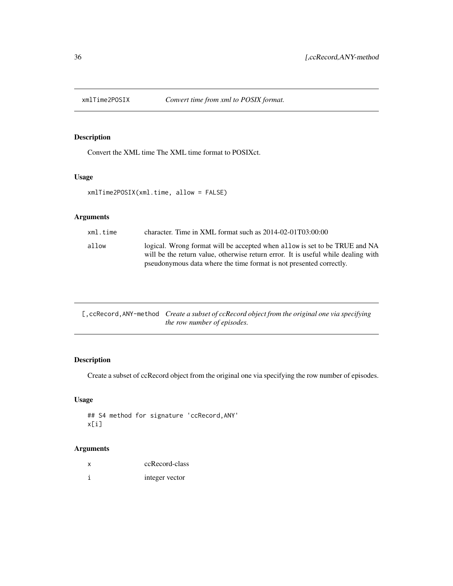<span id="page-35-0"></span>

Convert the XML time The XML time format to POSIXct.

### Usage

```
xmlTime2POSIX(xml.time, allow = FALSE)
```
### Arguments

| xml.time | character. Time in XML format such as $2014-02-01T03:00:00$                                                                                                     |
|----------|-----------------------------------------------------------------------------------------------------------------------------------------------------------------|
| allow    | logical. Wrong format will be accepted when allow is set to be TRUE and NA<br>will be the return value, otherwise return error. It is useful while dealing with |
|          | pseudonymous data where the time format is not presented correctly.                                                                                             |

| [, ccRecord, ANY-method <i>Create a subset of ccRecord object from the original one via specifying</i> |
|--------------------------------------------------------------------------------------------------------|
| <i>the row number of episodes.</i>                                                                     |

### Description

Create a subset of ccRecord object from the original one via specifying the row number of episodes.

### Usage

```
## S4 method for signature 'ccRecord,ANY'
x[i]
```

| x | ccRecord-class |
|---|----------------|
|   | integer vector |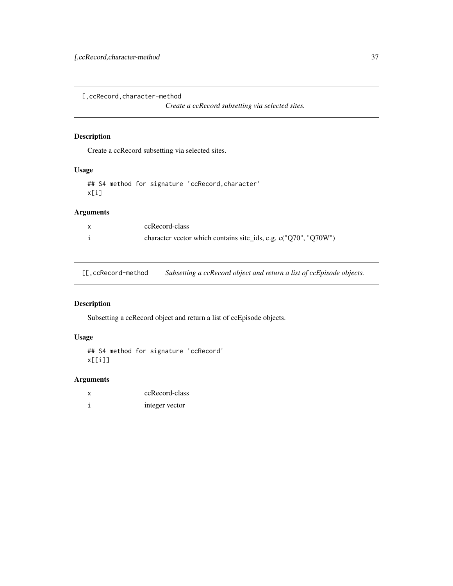<span id="page-36-0"></span>[,ccRecord,character-method

*Create a ccRecord subsetting via selected sites.*

### Description

Create a ccRecord subsetting via selected sites.

### Usage

## S4 method for signature 'ccRecord,character' x[i]

#### Arguments

| ccRecord-class                                                  |
|-----------------------------------------------------------------|
| character vector which contains site_ids, e.g. c("Q70", "Q70W") |

[[,ccRecord-method *Subsetting a ccRecord object and return a list of ccEpisode objects.*

### Description

Subsetting a ccRecord object and return a list of ccEpisode objects.

#### Usage

```
## S4 method for signature 'ccRecord'
x[[i]]
```

| x | ccRecord-class |
|---|----------------|
|   | integer vector |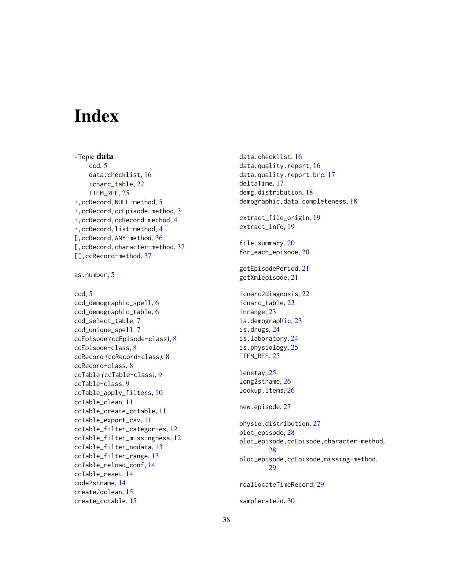# <span id="page-37-0"></span>**Index**

∗Topic data ccd, [5](#page-4-0) data.checklist, [16](#page-15-0) icnarc\_table, [22](#page-21-0) ITEM\_REF, [25](#page-24-0) +,ccRecord,NULL-method, [5](#page-4-0) +,ccRecord,ccEpisode-method, [3](#page-2-0) +,ccRecord,ccRecord-method, [4](#page-3-0) +,ccRecord,list-method, [4](#page-3-0) [, ccRecord, ANY-method, [36](#page-35-0) [, ccRecord, character-method, [37](#page-36-0) [[,ccRecord-method, [37](#page-36-0)

as.number, [5](#page-4-0)

```
ccd, 5
ccd_demographic_spell, 6
ccd_demographic_table, 6
ccd_select_table, 7
ccd_unique_spell, 7
ccEpisode (ccEpisode-class), 8
ccEpisode-class, 8
ccRecord (ccRecord-class), 8
ccRecord-class, 8
ccTable (ccTable-class), 9
ccTable-class, 9
ccTable_apply_filters, 10
ccTable_clean, 11
ccTable_create_cctable, 11
ccTable_export_csv, 11
ccTable_filter_categories, 12
ccTable_filter_missingness, 12
ccTable_filter_nodata, 13
ccTable_filter_range, 13
ccTable_reload_conf, 14
ccTable_reset, 14
code2stname, 14
create2dclean, 15
create_cctable, 15
```
data.checklist, [16](#page-15-0) data.quality.report, [16](#page-15-0) data.quality.report.brc, [17](#page-16-0) deltaTime, [17](#page-16-0) demg.distribution, [18](#page-17-0) demographic.data.completeness, [18](#page-17-0) extract\_file\_origin, [19](#page-18-0) extract\_info, [19](#page-18-0) file.summary, [20](#page-19-0) for\_each\_episode, [20](#page-19-0) getEpisodePeriod, [21](#page-20-0) getXmlepisode, [21](#page-20-0) icnarc2diagnosis, [22](#page-21-0) icnarc\_table, [22](#page-21-0) inrange, [23](#page-22-0) is.demographic, [23](#page-22-0) is.drugs, [24](#page-23-0) is.laboratory, [24](#page-23-0) is.physiology, [25](#page-24-0) ITEM\_REF, [25](#page-24-0) lenstay, [25](#page-24-0) long2stname, [26](#page-25-0) lookup.items, [26](#page-25-0) new.episode, [27](#page-26-0) physio.distribution, [27](#page-26-0) plot\_episode, [28](#page-27-0) plot\_episode,ccEpisode,character-method, [28](#page-27-0) plot\_episode,ccEpisode,missing-method, [29](#page-28-0) reallocateTimeRecord, [29](#page-28-0) samplerate2d, [30](#page-29-0)